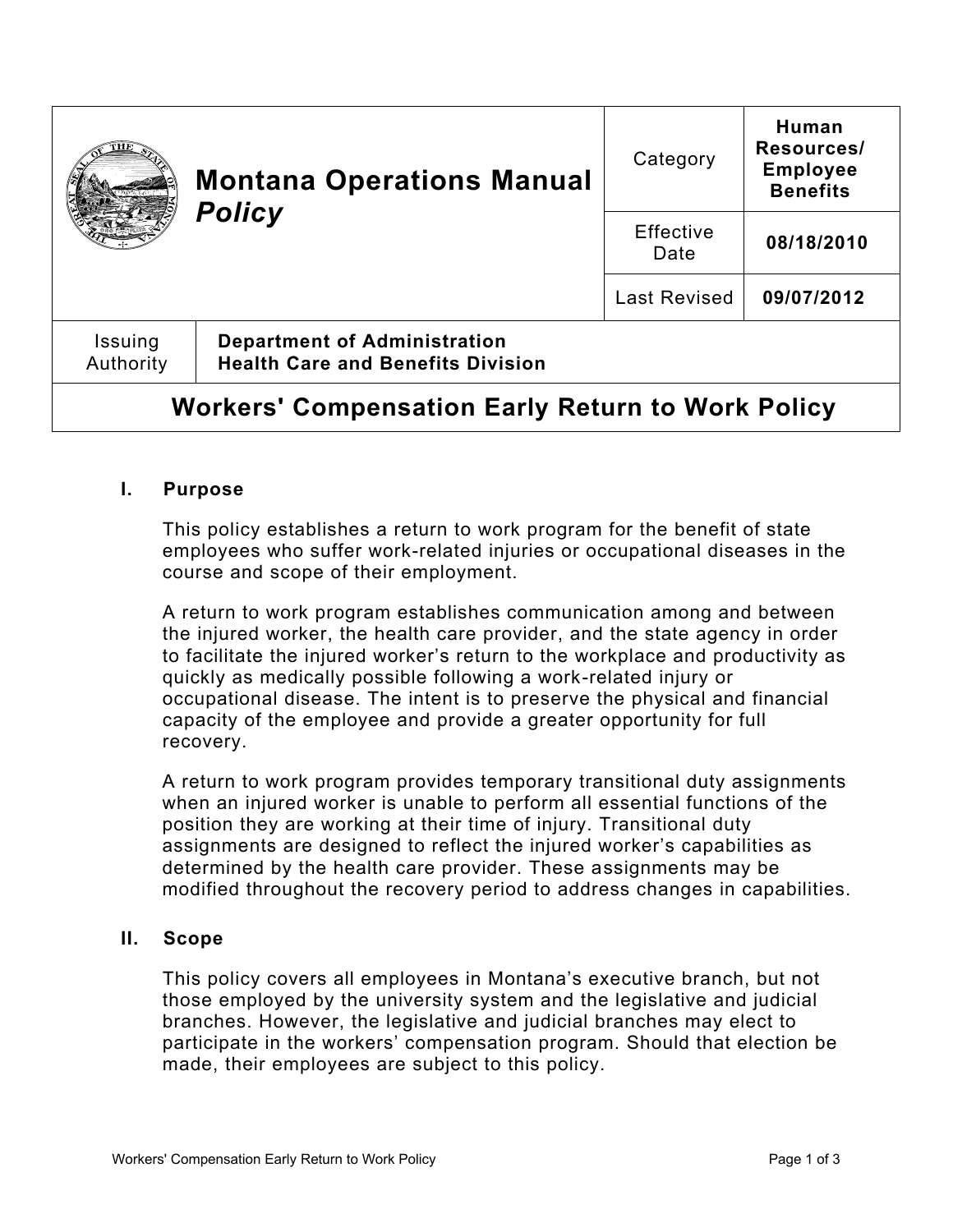|                                                          | <b>Montana Operations Manual</b><br><b>Policy</b>                               | Category          | Human<br>Resources/<br><b>Employee</b><br><b>Benefits</b> |
|----------------------------------------------------------|---------------------------------------------------------------------------------|-------------------|-----------------------------------------------------------|
|                                                          |                                                                                 | Effective<br>Date | 08/18/2010                                                |
|                                                          |                                                                                 | Last Revised      | 09/07/2012                                                |
| Issuing<br>Authority                                     | <b>Department of Administration</b><br><b>Health Care and Benefits Division</b> |                   |                                                           |
| <b>Workers' Compensation Early Return to Work Policy</b> |                                                                                 |                   |                                                           |

# **I. Purpose**

This policy establishes a return to work program for the benefit of state employees who suffer work-related injuries or occupational diseases in the course and scope of their employment.

A return to work program establishes communication among and between the injured worker, the health care provider, and the state agency in order to facilitate the injured worker's return to the workplace and productivity as quickly as medically possible following a work-related injury or occupational disease. The intent is to preserve the physical and financial capacity of the employee and provide a greater opportunity for full recovery.

A return to work program provides temporary transitional duty assignments when an injured worker is unable to perform all essential functions of the position they are working at their time of injury. Transitional duty assignments are designed to reflect the injured worker's capabilities as determined by the health care provider. These assignments may be modified throughout the recovery period to address changes in capabilities.

### **II. Scope**

This policy covers all employees in Montana's executive branch, but not those employed by the university system and the legislative and judicial branches. However, the legislative and judicial branches may elect to participate in the workers' compensation program. Should that election be made, their employees are subject to this policy.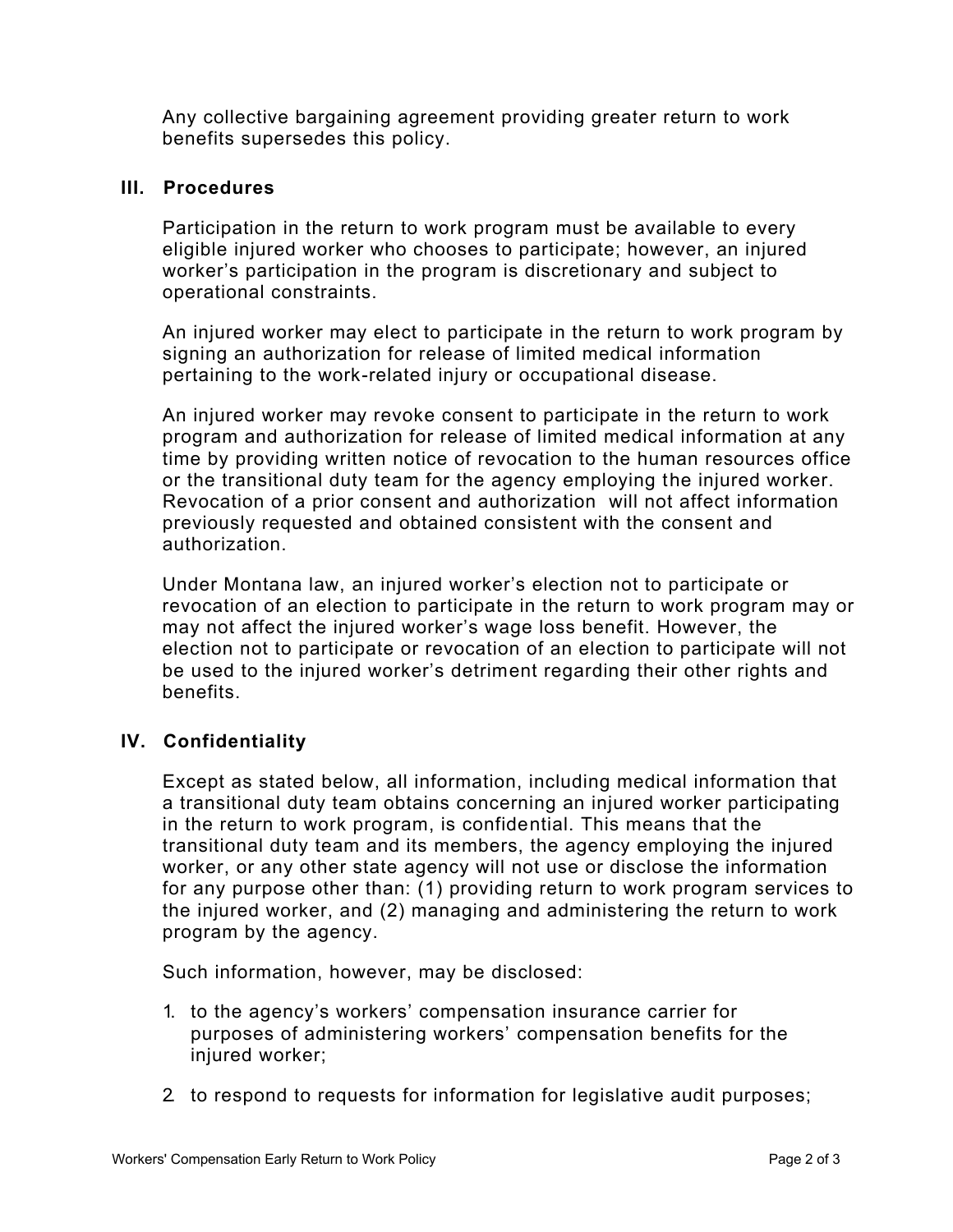Any collective bargaining agreement providing greater return to work benefits supersedes this policy.

### **III. Procedures**

Participation in the return to work program must be available to every eligible injured worker who chooses to participate; however, an injured worker's participation in the program is discretionary and subject to operational constraints.

An injured worker may elect to participate in the return to work program by signing an authorization for release of limited medical information pertaining to the work-related injury or occupational disease.

An injured worker may revoke consent to participate in the return to work program and authorization for release of limited medical information at any time by providing written notice of revocation to the human resources office or the transitional duty team for the agency employing the injured worker. Revocation of a prior consent and authorization will not affect information previously requested and obtained consistent with the consent and authorization.

Under Montana law, an injured worker's election not to participate or revocation of an election to participate in the return to work program may or may not affect the injured worker's wage loss benefit. However, the election not to participate or revocation of an election to participate will not be used to the injured worker's detriment regarding their other rights and benefits.

# **IV. Confidentiality**

Except as stated below, all information, including medical information that a transitional duty team obtains concerning an injured worker participating in the return to work program, is confidential. This means that the transitional duty team and its members, the agency employing the injured worker, or any other state agency will not use or disclose the information for any purpose other than: (1) providing return to work program services to the injured worker, and (2) managing and administering the return to work program by the agency.

Such information, however, may be disclosed:

- 1. to the agency's workers' compensation insurance carrier for purposes of administering workers' compensation benefits for the injured worker;
- 2. to respond to requests for information for legislative audit purposes;